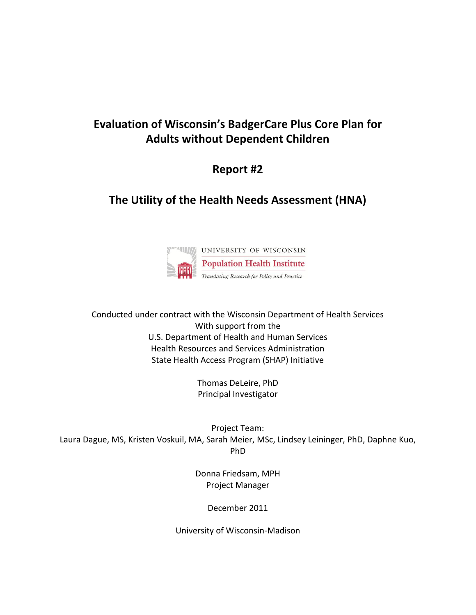# **Evaluation of Wisconsin's BadgerCare Plus Core Plan for Adults without Dependent Children**

# **Report #2**

# **The Utility of the Health Needs Assessment (HNA)**



Conducted under contract with the Wisconsin Department of Health Services With support from the U.S. Department of Health and Human Services Health Resources and Services Administration State Health Access Program (SHAP) Initiative

> Thomas DeLeire, PhD Principal Investigator

Project Team: Laura Dague, MS, Kristen Voskuil, MA, Sarah Meier, MSc, Lindsey Leininger, PhD, Daphne Kuo, PhD

> Donna Friedsam, MPH Project Manager

> > December 2011

University of Wisconsin-Madison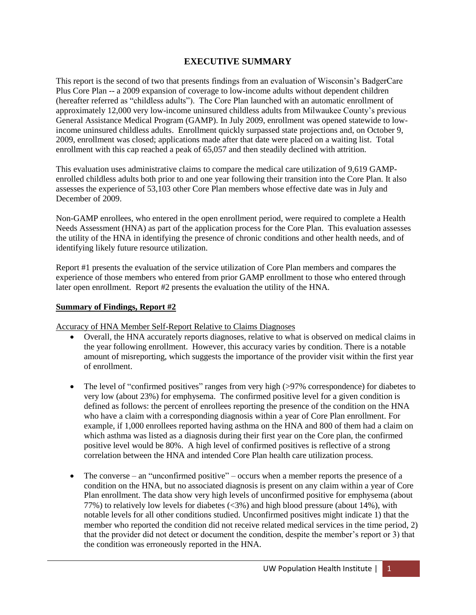## **EXECUTIVE SUMMARY**

This report is the second of two that presents findings from an evaluation of Wisconsin's BadgerCare Plus Core Plan -- a 2009 expansion of coverage to low-income adults without dependent children (hereafter referred as "childless adults"). The Core Plan launched with an automatic enrollment of approximately 12,000 very low-income uninsured childless adults from Milwaukee County's previous General Assistance Medical Program (GAMP). In July 2009, enrollment was opened statewide to lowincome uninsured childless adults. Enrollment quickly surpassed state projections and, on October 9, 2009, enrollment was closed; applications made after that date were placed on a waiting list. Total enrollment with this cap reached a peak of 65,057 and then steadily declined with attrition.

This evaluation uses administrative claims to compare the medical care utilization of 9,619 GAMPenrolled childless adults both prior to and one year following their transition into the Core Plan. It also assesses the experience of 53,103 other Core Plan members whose effective date was in July and December of 2009.

Non-GAMP enrollees, who entered in the open enrollment period, were required to complete a Health Needs Assessment (HNA) as part of the application process for the Core Plan. This evaluation assesses the utility of the HNA in identifying the presence of chronic conditions and other health needs, and of identifying likely future resource utilization.

Report #1 presents the evaluation of the service utilization of Core Plan members and compares the experience of those members who entered from prior GAMP enrollment to those who entered through later open enrollment. Report #2 presents the evaluation the utility of the HNA.

### **Summary of Findings, Report #2**

Accuracy of HNA Member Self-Report Relative to Claims Diagnoses

- Overall, the HNA accurately reports diagnoses, relative to what is observed on medical claims in the year following enrollment. However, this accuracy varies by condition. There is a notable amount of misreporting, which suggests the importance of the provider visit within the first year of enrollment.
- The level of "confirmed positives" ranges from very high (>97% correspondence) for diabetes to very low (about 23%) for emphysema. The confirmed positive level for a given condition is defined as follows: the percent of enrollees reporting the presence of the condition on the HNA who have a claim with a corresponding diagnosis within a year of Core Plan enrollment. For example, if 1,000 enrollees reported having asthma on the HNA and 800 of them had a claim on which asthma was listed as a diagnosis during their first year on the Core plan, the confirmed positive level would be 80%. A high level of confirmed positives is reflective of a strong correlation between the HNA and intended Core Plan health care utilization process.
- The converse an "unconfirmed positive" occurs when a member reports the presence of a condition on the HNA, but no associated diagnosis is present on any claim within a year of Core Plan enrollment. The data show very high levels of unconfirmed positive for emphysema (about 77%) to relatively low levels for diabetes (<3%) and high blood pressure (about 14%), with notable levels for all other conditions studied. Unconfirmed positives might indicate 1) that the member who reported the condition did not receive related medical services in the time period, 2) that the provider did not detect or document the condition, despite the member's report or 3) that the condition was erroneously reported in the HNA.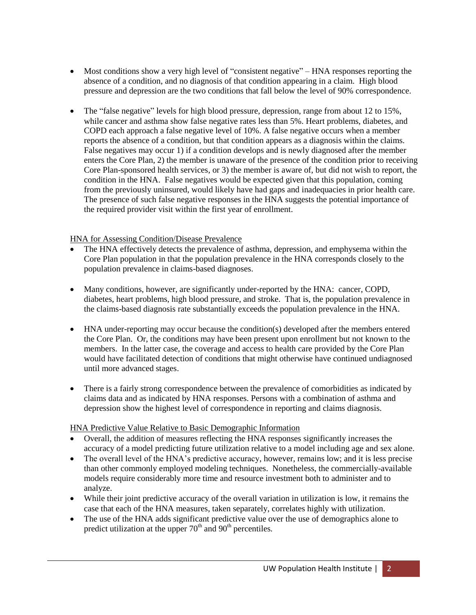- Most conditions show a very high level of "consistent negative" HNA responses reporting the absence of a condition, and no diagnosis of that condition appearing in a claim. High blood pressure and depression are the two conditions that fall below the level of 90% correspondence.
- The "false negative" levels for high blood pressure, depression, range from about 12 to 15%, while cancer and asthma show false negative rates less than 5%. Heart problems, diabetes, and COPD each approach a false negative level of 10%. A false negative occurs when a member reports the absence of a condition, but that condition appears as a diagnosis within the claims. False negatives may occur 1) if a condition develops and is newly diagnosed after the member enters the Core Plan, 2) the member is unaware of the presence of the condition prior to receiving Core Plan-sponsored health services, or 3) the member is aware of, but did not wish to report, the condition in the HNA. False negatives would be expected given that this population, coming from the previously uninsured, would likely have had gaps and inadequacies in prior health care. The presence of such false negative responses in the HNA suggests the potential importance of the required provider visit within the first year of enrollment.

## HNA for Assessing Condition/Disease Prevalence

- The HNA effectively detects the prevalence of asthma, depression, and emphysema within the Core Plan population in that the population prevalence in the HNA corresponds closely to the population prevalence in claims-based diagnoses.
- Many conditions, however, are significantly under-reported by the HNA: cancer, COPD, diabetes, heart problems, high blood pressure, and stroke. That is, the population prevalence in the claims-based diagnosis rate substantially exceeds the population prevalence in the HNA.
- HNA under-reporting may occur because the condition(s) developed after the members entered the Core Plan. Or, the conditions may have been present upon enrollment but not known to the members. In the latter case, the coverage and access to health care provided by the Core Plan would have facilitated detection of conditions that might otherwise have continued undiagnosed until more advanced stages.
- There is a fairly strong correspondence between the prevalence of comorbidities as indicated by claims data and as indicated by HNA responses. Persons with a combination of asthma and depression show the highest level of correspondence in reporting and claims diagnosis.

#### HNA Predictive Value Relative to Basic Demographic Information

- Overall, the addition of measures reflecting the HNA responses significantly increases the accuracy of a model predicting future utilization relative to a model including age and sex alone.
- The overall level of the HNA's predictive accuracy, however, remains low; and it is less precise than other commonly employed modeling techniques. Nonetheless, the commercially-available models require considerably more time and resource investment both to administer and to analyze.
- While their joint predictive accuracy of the overall variation in utilization is low, it remains the case that each of the HNA measures, taken separately, correlates highly with utilization.
- The use of the HNA adds significant predictive value over the use of demographics alone to predict utilization at the upper  $70<sup>th</sup>$  and  $90<sup>th</sup>$  percentiles.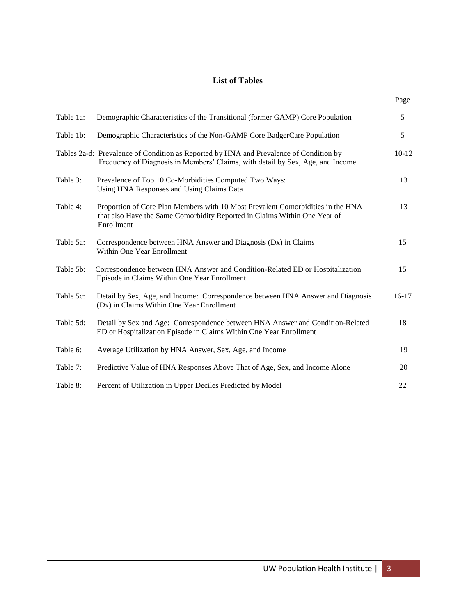## **List of Tables**

|           |                                                                                                                                                                            | Page    |
|-----------|----------------------------------------------------------------------------------------------------------------------------------------------------------------------------|---------|
| Table 1a: | Demographic Characteristics of the Transitional (former GAMP) Core Population                                                                                              | 5       |
| Table 1b: | Demographic Characteristics of the Non-GAMP Core BadgerCare Population                                                                                                     | 5       |
|           | Tables 2a-d: Prevalence of Condition as Reported by HNA and Prevalence of Condition by<br>Frequency of Diagnosis in Members' Claims, with detail by Sex, Age, and Income   | $10-12$ |
| Table 3:  | Prevalence of Top 10 Co-Morbidities Computed Two Ways:<br>Using HNA Responses and Using Claims Data                                                                        | 13      |
| Table 4:  | Proportion of Core Plan Members with 10 Most Prevalent Comorbidities in the HNA<br>that also Have the Same Comorbidity Reported in Claims Within One Year of<br>Enrollment | 13      |
| Table 5a: | Correspondence between HNA Answer and Diagnosis (Dx) in Claims<br>Within One Year Enrollment                                                                               | 15      |
| Table 5b: | Correspondence between HNA Answer and Condition-Related ED or Hospitalization<br>Episode in Claims Within One Year Enrollment                                              | 15      |
| Table 5c: | Detail by Sex, Age, and Income: Correspondence between HNA Answer and Diagnosis<br>(Dx) in Claims Within One Year Enrollment                                               | $16-17$ |
| Table 5d: | Detail by Sex and Age: Correspondence between HNA Answer and Condition-Related<br>ED or Hospitalization Episode in Claims Within One Year Enrollment                       | 18      |
| Table 6:  | Average Utilization by HNA Answer, Sex, Age, and Income                                                                                                                    | 19      |
| Table 7:  | Predictive Value of HNA Responses Above That of Age, Sex, and Income Alone                                                                                                 | 20      |
| Table 8:  | Percent of Utilization in Upper Deciles Predicted by Model                                                                                                                 | 22      |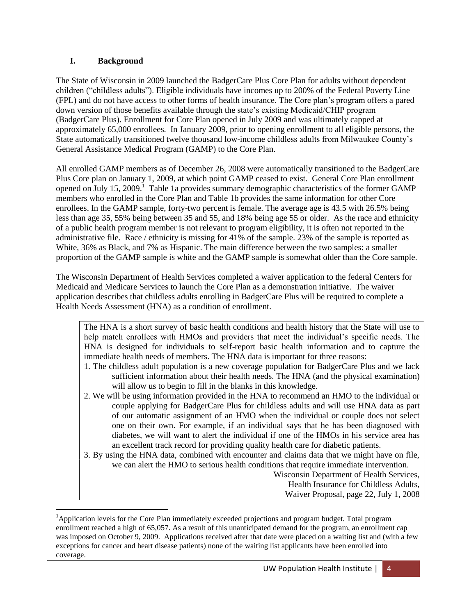## **I. Background**

 $\overline{a}$ 

The State of Wisconsin in 2009 launched the BadgerCare Plus Core Plan for adults without dependent children ("childless adults"). Eligible individuals have incomes up to 200% of the Federal Poverty Line (FPL) and do not have access to other forms of health insurance. The Core plan's program offers a pared down version of those benefits available through the state's existing Medicaid/CHIP program (BadgerCare Plus). Enrollment for Core Plan opened in July 2009 and was ultimately capped at approximately 65,000 enrollees. In January 2009, prior to opening enrollment to all eligible persons, the State automatically transitioned twelve thousand low-income childless adults from Milwaukee County's General Assistance Medical Program (GAMP) to the Core Plan.

All enrolled GAMP members as of December 26, 2008 were automatically transitioned to the BadgerCare Plus Core plan on January 1, 2009, at which point GAMP ceased to exist. General Core Plan enrollment opened on July 15, 2009.<sup>1</sup> Table 1a provides summary demographic characteristics of the former GAMP members who enrolled in the Core Plan and Table 1b provides the same information for other Core enrollees. In the GAMP sample, forty-two percent is female. The average age is 43.5 with 26.5% being less than age 35, 55% being between 35 and 55, and 18% being age 55 or older. As the race and ethnicity of a public health program member is not relevant to program eligibility, it is often not reported in the administrative file. Race / ethnicity is missing for 41% of the sample. 23% of the sample is reported as White, 36% as Black, and 7% as Hispanic. The main difference between the two samples: a smaller proportion of the GAMP sample is white and the GAMP sample is somewhat older than the Core sample.

The Wisconsin Department of Health Services completed a waiver application to the federal Centers for Medicaid and Medicare Services to launch the Core Plan as a demonstration initiative. The waiver application describes that childless adults enrolling in BadgerCare Plus will be required to complete a Health Needs Assessment (HNA) as a condition of enrollment.

The HNA is a short survey of basic health conditions and health history that the State will use to help match enrollees with HMOs and providers that meet the individual's specific needs. The HNA is designed for individuals to self-report basic health information and to capture the immediate health needs of members. The HNA data is important for three reasons:

- 1. The childless adult population is a new coverage population for BadgerCare Plus and we lack sufficient information about their health needs. The HNA (and the physical examination) will allow us to begin to fill in the blanks in this knowledge.
- 2. We will be using information provided in the HNA to recommend an HMO to the individual or couple applying for BadgerCare Plus for childless adults and will use HNA data as part of our automatic assignment of an HMO when the individual or couple does not select one on their own. For example, if an individual says that he has been diagnosed with diabetes, we will want to alert the individual if one of the HMOs in his service area has an excellent track record for providing quality health care for diabetic patients.
- 3. By using the HNA data, combined with encounter and claims data that we might have on file, we can alert the HMO to serious health conditions that require immediate intervention.

Wisconsin Department of Health Services, Health Insurance for Childless Adults, Waiver Proposal, page 22, July 1, 2008

<sup>&</sup>lt;sup>1</sup>Application levels for the Core Plan immediately exceeded projections and program budget. Total program enrollment reached a high of 65,057. As a result of this unanticipated demand for the program, an enrollment cap was imposed on October 9, 2009. Applications received after that date were placed on a waiting list and (with a few exceptions for cancer and heart disease patients) none of the waiting list applicants have been enrolled into coverage.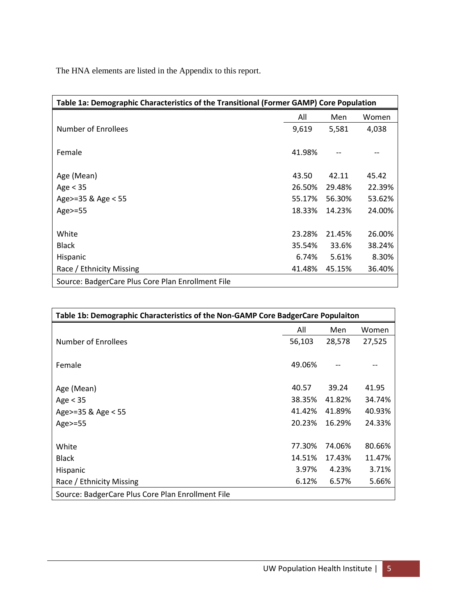The HNA elements are listed in the Appendix to this report.

| Table 1a: Demographic Characteristics of the Transitional (Former GAMP) Core Population |        |        |        |  |
|-----------------------------------------------------------------------------------------|--------|--------|--------|--|
|                                                                                         | All    | Men    | Women  |  |
| Number of Enrollees                                                                     | 9,619  | 5,581  | 4,038  |  |
| Female                                                                                  | 41.98% |        |        |  |
| Age (Mean)                                                                              | 43.50  | 42.11  | 45.42  |  |
| Age $<$ 35                                                                              | 26.50% | 29.48% | 22.39% |  |
| Age>=35 & Age < 55                                                                      | 55.17% | 56.30% | 53.62% |  |
| Age>=55                                                                                 | 18.33% | 14.23% | 24.00% |  |
| White                                                                                   | 23.28% | 21.45% | 26.00% |  |
| <b>Black</b>                                                                            | 35.54% | 33.6%  | 38.24% |  |
| Hispanic                                                                                | 6.74%  | 5.61%  | 8.30%  |  |
| Race / Ethnicity Missing                                                                | 41.48% | 45.15% | 36.40% |  |
| Source: BadgerCare Plus Core Plan Enrollment File                                       |        |        |        |  |

| Table 1b: Demographic Characteristics of the Non-GAMP Core BadgerCare Populaiton |        |        |        |
|----------------------------------------------------------------------------------|--------|--------|--------|
|                                                                                  | All    | Men    | Women  |
| Number of Enrollees                                                              | 56,103 | 28,578 | 27,525 |
| Female                                                                           | 49.06% | --     |        |
| Age (Mean)                                                                       | 40.57  | 39.24  | 41.95  |
| Age $<$ 35                                                                       | 38.35% | 41.82% | 34.74% |
| Age>=35 & Age < 55                                                               | 41.42% | 41.89% | 40.93% |
| Age $>=$ 55                                                                      | 20.23% | 16.29% | 24.33% |
|                                                                                  |        |        |        |
| White                                                                            | 77.30% | 74.06% | 80.66% |
| <b>Black</b>                                                                     | 14.51% | 17.43% | 11.47% |
| Hispanic                                                                         | 3.97%  | 4.23%  | 3.71%  |
| Race / Ethnicity Missing                                                         | 6.12%  | 6.57%  | 5.66%  |
| Source: BadgerCare Plus Core Plan Enrollment File                                |        |        |        |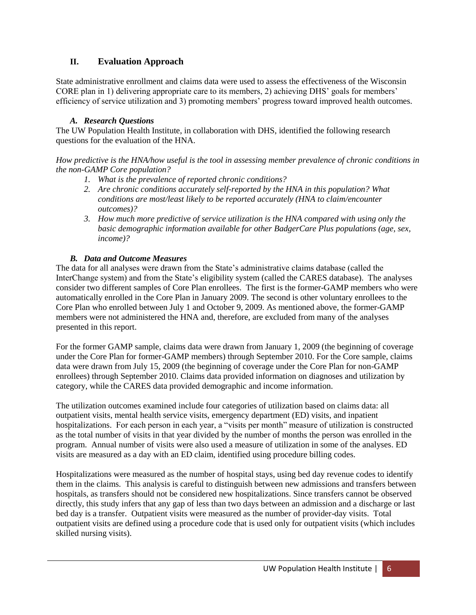## **II. Evaluation Approach**

State administrative enrollment and claims data were used to assess the effectiveness of the Wisconsin CORE plan in 1) delivering appropriate care to its members, 2) achieving DHS' goals for members' efficiency of service utilization and 3) promoting members' progress toward improved health outcomes.

## *A. Research Questions*

The UW Population Health Institute, in collaboration with DHS, identified the following research questions for the evaluation of the HNA.

*How predictive is the HNA/how useful is the tool in assessing member prevalence of chronic conditions in the non-GAMP Core population?*

- *1. What is the prevalence of reported chronic conditions?*
- *2. Are chronic conditions accurately self-reported by the HNA in this population? What conditions are most/least likely to be reported accurately (HNA to claim/encounter outcomes)?*
- *3. How much more predictive of service utilization is the HNA compared with using only the basic demographic information available for other BadgerCare Plus populations (age, sex, income)?*

## *B. Data and Outcome Measures*

The data for all analyses were drawn from the State's administrative claims database (called the InterChange system) and from the State's eligibility system (called the CARES database). The analyses consider two different samples of Core Plan enrollees. The first is the former-GAMP members who were automatically enrolled in the Core Plan in January 2009. The second is other voluntary enrollees to the Core Plan who enrolled between July 1 and October 9, 2009. As mentioned above, the former-GAMP members were not administered the HNA and, therefore, are excluded from many of the analyses presented in this report.

For the former GAMP sample, claims data were drawn from January 1, 2009 (the beginning of coverage under the Core Plan for former-GAMP members) through September 2010. For the Core sample, claims data were drawn from July 15, 2009 (the beginning of coverage under the Core Plan for non-GAMP enrollees) through September 2010. Claims data provided information on diagnoses and utilization by category, while the CARES data provided demographic and income information.

The utilization outcomes examined include four categories of utilization based on claims data: all outpatient visits, mental health service visits, emergency department (ED) visits, and inpatient hospitalizations. For each person in each year, a "visits per month" measure of utilization is constructed as the total number of visits in that year divided by the number of months the person was enrolled in the program. Annual number of visits were also used a measure of utilization in some of the analyses. ED visits are measured as a day with an ED claim, identified using procedure billing codes.

Hospitalizations were measured as the number of hospital stays, using bed day revenue codes to identify them in the claims. This analysis is careful to distinguish between new admissions and transfers between hospitals, as transfers should not be considered new hospitalizations. Since transfers cannot be observed directly, this study infers that any gap of less than two days between an admission and a discharge or last bed day is a transfer. Outpatient visits were measured as the number of provider-day visits. Total outpatient visits are defined using a procedure code that is used only for outpatient visits (which includes skilled nursing visits).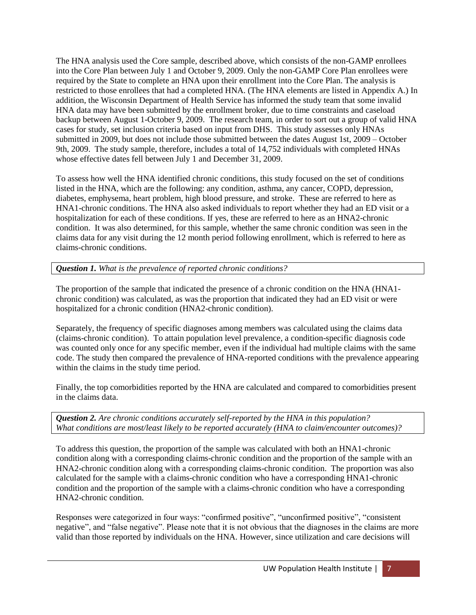The HNA analysis used the Core sample, described above, which consists of the non-GAMP enrollees into the Core Plan between July 1 and October 9, 2009. Only the non-GAMP Core Plan enrollees were required by the State to complete an HNA upon their enrollment into the Core Plan. The analysis is restricted to those enrollees that had a completed HNA. (The HNA elements are listed in Appendix A.) In addition, the Wisconsin Department of Health Service has informed the study team that some invalid HNA data may have been submitted by the enrollment broker, due to time constraints and caseload backup between August 1-October 9, 2009. The research team, in order to sort out a group of valid HNA cases for study, set inclusion criteria based on input from DHS. This study assesses only HNAs submitted in 2009, but does not include those submitted between the dates August 1st, 2009 – October 9th, 2009. The study sample, therefore, includes a total of 14,752 individuals with completed HNAs whose effective dates fell between July 1 and December 31, 2009.

To assess how well the HNA identified chronic conditions, this study focused on the set of conditions listed in the HNA, which are the following: any condition, asthma, any cancer, COPD, depression, diabetes, emphysema, heart problem, high blood pressure, and stroke. These are referred to here as HNA1-chronic conditions. The HNA also asked individuals to report whether they had an ED visit or a hospitalization for each of these conditions. If yes, these are referred to here as an HNA2-chronic condition. It was also determined, for this sample, whether the same chronic condition was seen in the claims data for any visit during the 12 month period following enrollment, which is referred to here as claims-chronic conditions.

*Question 1. What is the prevalence of reported chronic conditions?* 

The proportion of the sample that indicated the presence of a chronic condition on the HNA (HNA1 chronic condition) was calculated, as was the proportion that indicated they had an ED visit or were hospitalized for a chronic condition (HNA2-chronic condition).

Separately, the frequency of specific diagnoses among members was calculated using the claims data (claims-chronic condition). To attain population level prevalence, a condition-specific diagnosis code was counted only once for any specific member, even if the individual had multiple claims with the same code. The study then compared the prevalence of HNA-reported conditions with the prevalence appearing within the claims in the study time period.

Finally, the top comorbidities reported by the HNA are calculated and compared to comorbidities present in the claims data.

*Question 2. Are chronic conditions accurately self-reported by the HNA in this population? What conditions are most/least likely to be reported accurately (HNA to claim/encounter outcomes)?*

To address this question, the proportion of the sample was calculated with both an HNA1-chronic condition along with a corresponding claims-chronic condition and the proportion of the sample with an HNA2-chronic condition along with a corresponding claims-chronic condition. The proportion was also calculated for the sample with a claims-chronic condition who have a corresponding HNA1-chronic condition and the proportion of the sample with a claims-chronic condition who have a corresponding HNA2-chronic condition.

Responses were categorized in four ways: "confirmed positive", "unconfirmed positive", "consistent negative", and "false negative". Please note that it is not obvious that the diagnoses in the claims are more valid than those reported by individuals on the HNA. However, since utilization and care decisions will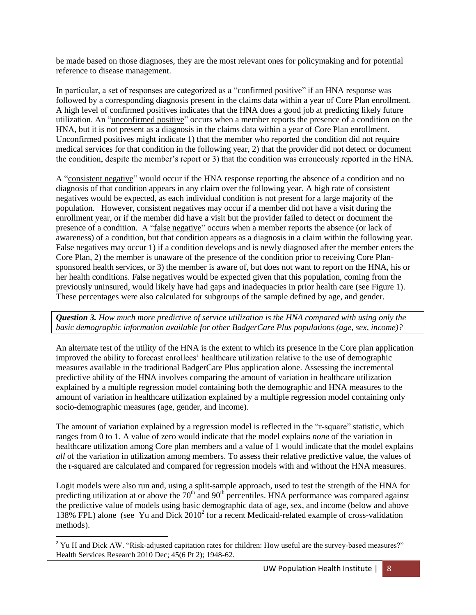be made based on those diagnoses, they are the most relevant ones for policymaking and for potential reference to disease management.

In particular, a set of responses are categorized as a "confirmed positive" if an HNA response was followed by a corresponding diagnosis present in the claims data within a year of Core Plan enrollment. A high level of confirmed positives indicates that the HNA does a good job at predicting likely future utilization. An "unconfirmed positive" occurs when a member reports the presence of a condition on the HNA, but it is not present as a diagnosis in the claims data within a year of Core Plan enrollment. Unconfirmed positives might indicate 1) that the member who reported the condition did not require medical services for that condition in the following year, 2) that the provider did not detect or document the condition, despite the member's report or 3) that the condition was erroneously reported in the HNA.

A "consistent negative" would occur if the HNA response reporting the absence of a condition and no diagnosis of that condition appears in any claim over the following year. A high rate of consistent negatives would be expected, as each individual condition is not present for a large majority of the population. However, consistent negatives may occur if a member did not have a visit during the enrollment year, or if the member did have a visit but the provider failed to detect or document the presence of a condition. A "false negative" occurs when a member reports the absence (or lack of awareness) of a condition, but that condition appears as a diagnosis in a claim within the following year. False negatives may occur 1) if a condition develops and is newly diagnosed after the member enters the Core Plan, 2) the member is unaware of the presence of the condition prior to receiving Core Plansponsored health services, or 3) the member is aware of, but does not want to report on the HNA, his or her health conditions. False negatives would be expected given that this population, coming from the previously uninsured, would likely have had gaps and inadequacies in prior health care (see Figure 1). These percentages were also calculated for subgroups of the sample defined by age, and gender.

*Question 3. How much more predictive of service utilization is the HNA compared with using only the basic demographic information available for other BadgerCare Plus populations (age, sex, income)?*

An alternate test of the utility of the HNA is the extent to which its presence in the Core plan application improved the ability to forecast enrollees' healthcare utilization relative to the use of demographic measures available in the traditional BadgerCare Plus application alone. Assessing the incremental predictive ability of the HNA involves comparing the amount of variation in healthcare utilization explained by a multiple regression model containing both the demographic and HNA measures to the amount of variation in healthcare utilization explained by a multiple regression model containing only socio-demographic measures (age, gender, and income).

The amount of variation explained by a regression model is reflected in the "r-square" statistic, which ranges from 0 to 1. A value of zero would indicate that the model explains *none* of the variation in healthcare utilization among Core plan members and a value of 1 would indicate that the model explains *all* of the variation in utilization among members. To assess their relative predictive value, the values of the r-squared are calculated and compared for regression models with and without the HNA measures.

Logit models were also run and, using a split-sample approach, used to test the strength of the HNA for predicting utilization at or above the  $70<sup>th</sup>$  and  $90<sup>th</sup>$  percentiles. HNA performance was compared against the predictive value of models using basic demographic data of age, sex, and income (below and above 138% FPL) alone (see Yu and Dick  $2010<sup>2</sup>$  for a recent Medicaid-related example of cross-validation methods).

l

<sup>&</sup>lt;sup>2</sup> Yu H and Dick AW. "Risk-adjusted capitation rates for children: How useful are the survey-based measures?" Health Services Research 2010 Dec; 45(6 Pt 2); 1948-62.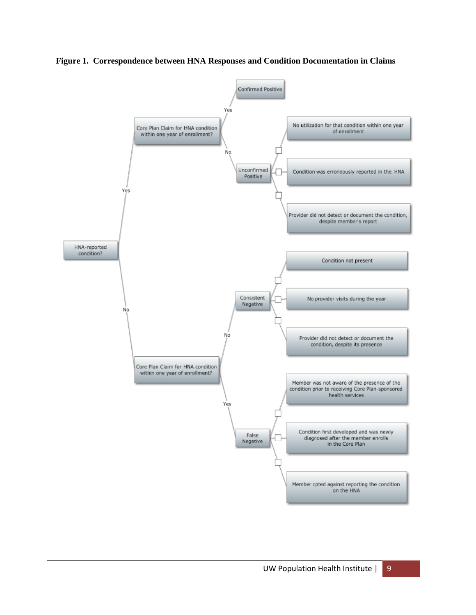**Figure 1. Correspondence between HNA Responses and Condition Documentation in Claims**

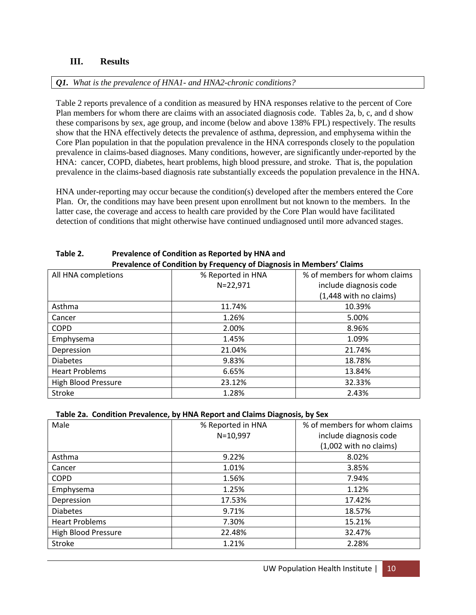## **III. Results**

### *Q1. What is the prevalence of HNA1- and HNA2-chronic conditions?*

Table 2 reports prevalence of a condition as measured by HNA responses relative to the percent of Core Plan members for whom there are claims with an associated diagnosis code. Tables 2a, b, c, and d show these comparisons by sex, age group, and income (below and above 138% FPL) respectively. The results show that the HNA effectively detects the prevalence of asthma, depression, and emphysema within the Core Plan population in that the population prevalence in the HNA corresponds closely to the population prevalence in claims-based diagnoses. Many conditions, however, are significantly under-reported by the HNA: cancer, COPD, diabetes, heart problems, high blood pressure, and stroke. That is, the population prevalence in the claims-based diagnosis rate substantially exceeds the population prevalence in the HNA.

HNA under-reporting may occur because the condition(s) developed after the members entered the Core Plan. Or, the conditions may have been present upon enrollment but not known to the members. In the latter case, the coverage and access to health care provided by the Core Plan would have facilitated detection of conditions that might otherwise have continued undiagnosed until more advanced stages.

| All HNA completions        | % Reported in HNA | % of members for whom claims |  |
|----------------------------|-------------------|------------------------------|--|
|                            | $N = 22,971$      | include diagnosis code       |  |
|                            |                   | (1,448 with no claims)       |  |
| Asthma                     | 11.74%            | 10.39%                       |  |
| Cancer                     | 1.26%             | 5.00%                        |  |
| <b>COPD</b>                | 2.00%             | 8.96%                        |  |
| Emphysema                  | 1.45%             | 1.09%                        |  |
| Depression                 | 21.04%            | 21.74%                       |  |
| <b>Diabetes</b>            | 9.83%             | 18.78%                       |  |
| <b>Heart Problems</b>      | 6.65%             | 13.84%                       |  |
| <b>High Blood Pressure</b> | 23.12%            | 32.33%                       |  |
| Stroke                     | 1.28%             | 2.43%                        |  |

#### **Table 2. Prevalence of Condition as Reported by HNA and Prevalence of Condition by Frequency of Diagnosis in Members' Claims**

#### **Table 2a. Condition Prevalence, by HNA Report and Claims Diagnosis, by Sex**

| Male                       | % Reported in HNA | % of members for whom claims |  |
|----------------------------|-------------------|------------------------------|--|
|                            | $N = 10,997$      | include diagnosis code       |  |
|                            |                   | (1,002 with no claims)       |  |
| Asthma                     | 9.22%             | 8.02%                        |  |
| Cancer                     | 1.01%             | 3.85%                        |  |
| <b>COPD</b>                | 1.56%             | 7.94%                        |  |
| Emphysema                  | 1.25%             | 1.12%                        |  |
| Depression                 | 17.53%            | 17.42%                       |  |
| <b>Diabetes</b>            | 9.71%             | 18.57%                       |  |
| <b>Heart Problems</b>      | 7.30%             | 15.21%                       |  |
| <b>High Blood Pressure</b> | 22.48%            | 32.47%                       |  |
| Stroke                     | 1.21%             | 2.28%                        |  |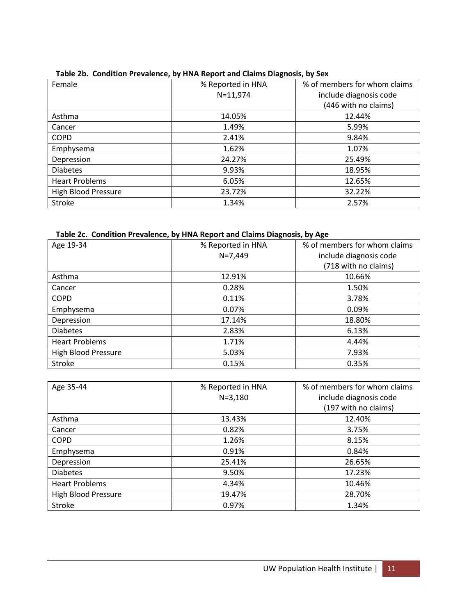| Female                     | % Reported in HNA | % of members for whom claims |
|----------------------------|-------------------|------------------------------|
|                            | $N = 11,974$      | include diagnosis code       |
|                            |                   | (446 with no claims)         |
| Asthma                     | 14.05%            | 12.44%                       |
| Cancer                     | 1.49%             | 5.99%                        |
| <b>COPD</b>                | 2.41%             | 9.84%                        |
| Emphysema                  | 1.62%             | 1.07%                        |
| Depression                 | 24.27%            | 25.49%                       |
| <b>Diabetes</b>            | 9.93%             | 18.95%                       |
| <b>Heart Problems</b>      | 6.05%             | 12.65%                       |
| <b>High Blood Pressure</b> | 23.72%            | 32.22%                       |
| <b>Stroke</b>              | 1.34%             | 2.57%                        |

## **Table 2b. Condition Prevalence, by HNA Report and Claims Diagnosis, by Sex**

#### **Table 2c. Condition Prevalence, by HNA Report and Claims Diagnosis, by Age**

| Age 19-34                  | % Reported in HNA | % of members for whom claims |
|----------------------------|-------------------|------------------------------|
|                            | $N=7,449$         | include diagnosis code       |
|                            |                   | (718 with no claims)         |
| Asthma                     | 12.91%            | 10.66%                       |
| Cancer                     | 0.28%             | 1.50%                        |
| <b>COPD</b>                | 0.11%             | 3.78%                        |
| Emphysema                  | 0.07%             | 0.09%                        |
| Depression                 | 17.14%            | 18.80%                       |
| <b>Diabetes</b>            | 2.83%             | 6.13%                        |
| <b>Heart Problems</b>      | 1.71%             | 4.44%                        |
| <b>High Blood Pressure</b> | 5.03%             | 7.93%                        |
| Stroke                     | 0.15%             | 0.35%                        |

| Age 35-44                  | % Reported in HNA | % of members for whom claims |
|----------------------------|-------------------|------------------------------|
|                            | $N = 3,180$       | include diagnosis code       |
|                            |                   | (197 with no claims)         |
| Asthma                     | 13.43%            | 12.40%                       |
| Cancer                     | 0.82%             | 3.75%                        |
| <b>COPD</b>                | 1.26%             | 8.15%                        |
| Emphysema                  | 0.91%             | 0.84%                        |
| Depression                 | 25.41%            | 26.65%                       |
| <b>Diabetes</b>            | 9.50%             | 17.23%                       |
| <b>Heart Problems</b>      | 4.34%             | 10.46%                       |
| <b>High Blood Pressure</b> | 19.47%            | 28.70%                       |
| <b>Stroke</b>              | 0.97%             | 1.34%                        |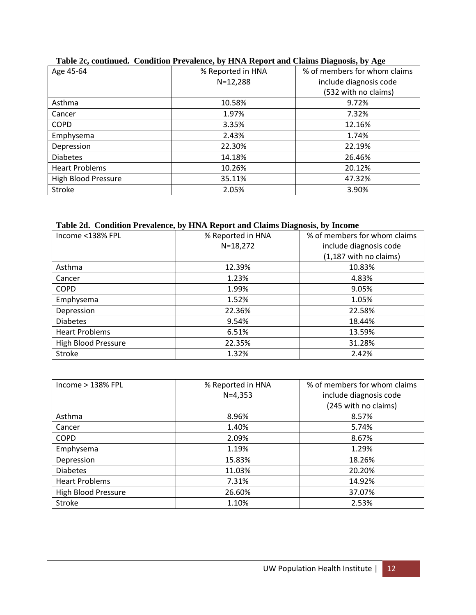| Age 45-64                  | % Reported in HNA | % of members for whom claims |
|----------------------------|-------------------|------------------------------|
|                            | $N = 12,288$      | include diagnosis code       |
|                            |                   | (532 with no claims)         |
| Asthma                     | 10.58%            | 9.72%                        |
| Cancer                     | 1.97%             | 7.32%                        |
| <b>COPD</b>                | 3.35%             | 12.16%                       |
| Emphysema                  | 2.43%             | 1.74%                        |
| Depression                 | 22.30%            | 22.19%                       |
| <b>Diabetes</b>            | 14.18%            | 26.46%                       |
| <b>Heart Problems</b>      | 10.26%            | 20.12%                       |
| <b>High Blood Pressure</b> | 35.11%            | 47.32%                       |
| <b>Stroke</b>              | 2.05%             | 3.90%                        |

# **Table 2c, continued. Condition Prevalence, by HNA Report and Claims Diagnosis, by Age**

#### **Table 2d. Condition Prevalence, by HNA Report and Claims Diagnosis, by Income**

| Income <138% FPL           | % Reported in HNA | % of members for whom claims |
|----------------------------|-------------------|------------------------------|
|                            | $N = 18,272$      | include diagnosis code       |
|                            |                   | (1,187 with no claims)       |
| Asthma                     | 12.39%            | 10.83%                       |
| Cancer                     | 1.23%             | 4.83%                        |
| <b>COPD</b>                | 1.99%             | 9.05%                        |
| Emphysema                  | 1.52%             | 1.05%                        |
| Depression                 | 22.36%            | 22.58%                       |
| <b>Diabetes</b>            | 9.54%             | 18.44%                       |
| <b>Heart Problems</b>      | 6.51%             | 13.59%                       |
| <b>High Blood Pressure</b> | 22.35%            | 31.28%                       |
| <b>Stroke</b>              | 1.32%             | 2.42%                        |

| Income $>$ 138% FPL        | % Reported in HNA | % of members for whom claims |
|----------------------------|-------------------|------------------------------|
|                            | $N=4,353$         | include diagnosis code       |
|                            |                   | (245 with no claims)         |
| Asthma                     | 8.96%             | 8.57%                        |
| Cancer                     | 1.40%             | 5.74%                        |
| <b>COPD</b>                | 2.09%             | 8.67%                        |
| Emphysema                  | 1.19%             | 1.29%                        |
| Depression                 | 15.83%            | 18.26%                       |
| <b>Diabetes</b>            | 11.03%            | 20.20%                       |
| <b>Heart Problems</b>      | 7.31%             | 14.92%                       |
| <b>High Blood Pressure</b> | 26.60%            | 37.07%                       |
| <b>Stroke</b>              | 1.10%             | 2.53%                        |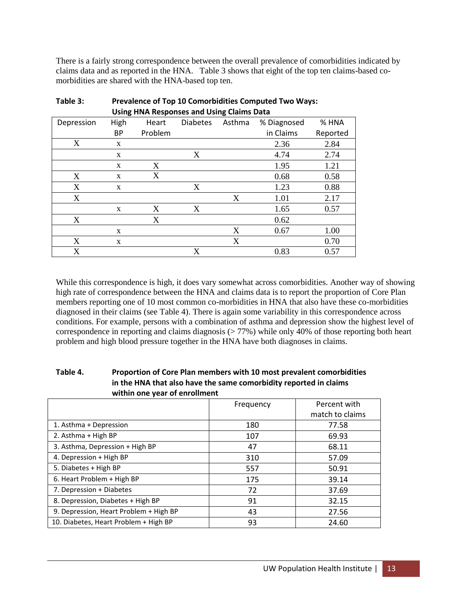There is a fairly strong correspondence between the overall prevalence of comorbidities indicated by claims data and as reported in the HNA. Table 3 shows that eight of the top ten claims-based comorbidities are shared with the HNA-based top ten.

|            | ັ           |         |                 | ັ      |             |          |
|------------|-------------|---------|-----------------|--------|-------------|----------|
| Depression | <b>High</b> | Heart   | <b>Diabetes</b> | Asthma | % Diagnosed | % HNA    |
|            | <b>BP</b>   | Problem |                 |        | in Claims   | Reported |
| X          | X           |         |                 |        | 2.36        | 2.84     |
|            | X           |         | X               |        | 4.74        | 2.74     |
|            | X           | X       |                 |        | 1.95        | 1.21     |
| X          | X           | X       |                 |        | 0.68        | 0.58     |
| X          | X           |         | X               |        | 1.23        | 0.88     |
| X          |             |         |                 | X      | 1.01        | 2.17     |
|            | X           | X       | X               |        | 1.65        | 0.57     |
| X          |             | X       |                 |        | 0.62        |          |
|            | X           |         |                 | X      | 0.67        | 1.00     |
| X          | X           |         |                 | X      |             | 0.70     |
| X          |             |         | X               |        | 0.83        | 0.57     |

| Table 3: | <b>Prevalence of Top 10 Comorbidities Computed Two Ways:</b> |
|----------|--------------------------------------------------------------|
|          | Using HNA Responses and Using Claims Data                    |

While this correspondence is high, it does vary somewhat across comorbidities. Another way of showing high rate of correspondence between the HNA and claims data is to report the proportion of Core Plan members reporting one of 10 most common co-morbidities in HNA that also have these co-morbidities diagnosed in their claims (see Table 4). There is again some variability in this correspondence across conditions. For example, persons with a combination of asthma and depression show the highest level of correspondence in reporting and claims diagnosis (> 77%) while only 40% of those reporting both heart problem and high blood pressure together in the HNA have both diagnoses in claims.

| Table 4. | Proportion of Core Plan members with 10 most prevalent comorbidities |
|----------|----------------------------------------------------------------------|
|          | in the HNA that also have the same comorbidity reported in claims    |
|          | within one year of enrollment                                        |
|          |                                                                      |

|                                        | Frequency | Percent with    |
|----------------------------------------|-----------|-----------------|
|                                        |           | match to claims |
| 1. Asthma + Depression                 | 180       | 77.58           |
| 2. Asthma + High BP                    | 107       | 69.93           |
| 3. Asthma, Depression + High BP        | 47        | 68.11           |
| 4. Depression + High BP                | 310       | 57.09           |
| 5. Diabetes + High BP                  | 557       | 50.91           |
| 6. Heart Problem + High BP             | 175       | 39.14           |
| 7. Depression + Diabetes               | 72        | 37.69           |
| 8. Depression, Diabetes + High BP      | 91        | 32.15           |
| 9. Depression, Heart Problem + High BP | 43        | 27.56           |
| 10. Diabetes, Heart Problem + High BP  | 93        | 24.60           |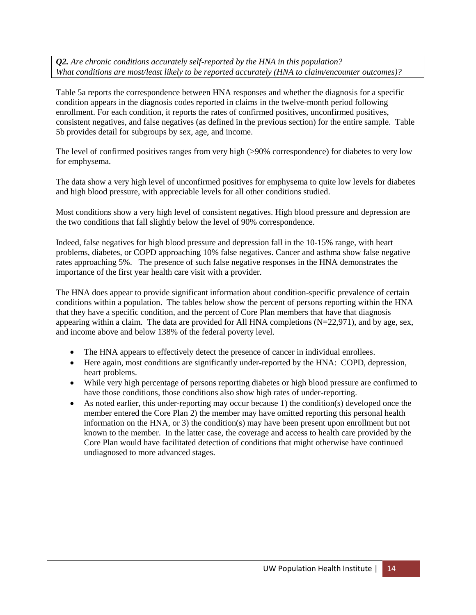*Q2. Are chronic conditions accurately self-reported by the HNA in this population? What conditions are most/least likely to be reported accurately (HNA to claim/encounter outcomes)?*

Table 5a reports the correspondence between HNA responses and whether the diagnosis for a specific condition appears in the diagnosis codes reported in claims in the twelve-month period following enrollment. For each condition, it reports the rates of confirmed positives, unconfirmed positives, consistent negatives, and false negatives (as defined in the previous section) for the entire sample. Table 5b provides detail for subgroups by sex, age, and income.

The level of confirmed positives ranges from very high (>90% correspondence) for diabetes to very low for emphysema.

The data show a very high level of unconfirmed positives for emphysema to quite low levels for diabetes and high blood pressure, with appreciable levels for all other conditions studied.

Most conditions show a very high level of consistent negatives. High blood pressure and depression are the two conditions that fall slightly below the level of 90% correspondence.

Indeed, false negatives for high blood pressure and depression fall in the 10-15% range, with heart problems, diabetes, or COPD approaching 10% false negatives. Cancer and asthma show false negative rates approaching 5%. The presence of such false negative responses in the HNA demonstrates the importance of the first year health care visit with a provider.

The HNA does appear to provide significant information about condition-specific prevalence of certain conditions within a population. The tables below show the percent of persons reporting within the HNA that they have a specific condition, and the percent of Core Plan members that have that diagnosis appearing within a claim. The data are provided for All HNA completions  $(N=22,971)$ , and by age, sex, and income above and below 138% of the federal poverty level.

- The HNA appears to effectively detect the presence of cancer in individual enrollees.
- Here again, most conditions are significantly under-reported by the HNA: COPD, depression, heart problems.
- While very high percentage of persons reporting diabetes or high blood pressure are confirmed to have those conditions, those conditions also show high rates of under-reporting.
- As noted earlier, this under-reporting may occur because 1) the condition(s) developed once the member entered the Core Plan 2) the member may have omitted reporting this personal health information on the HNA, or 3) the condition(s) may have been present upon enrollment but not known to the member. In the latter case, the coverage and access to health care provided by the Core Plan would have facilitated detection of conditions that might otherwise have continued undiagnosed to more advanced stages.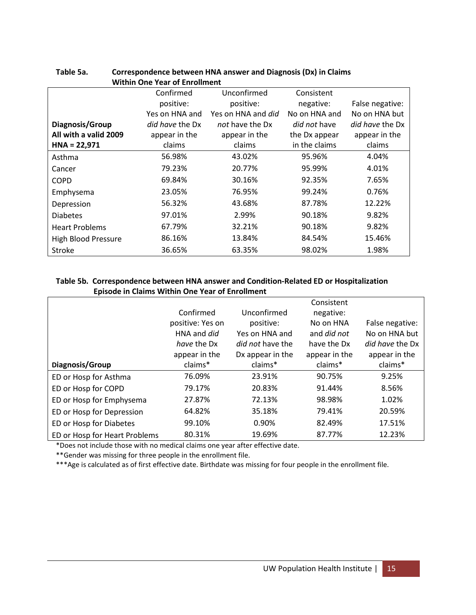|                            | Confirmed              | Unconfirmed        | Consistent          |                        |
|----------------------------|------------------------|--------------------|---------------------|------------------------|
|                            | positive:              | positive:          | negative:           | False negative:        |
|                            | Yes on HNA and         | Yes on HNA and did | No on HNA and       | No on HNA but          |
| Diagnosis/Group            | <i>did have</i> the Dx | not have the Dx    | <i>did not</i> have | <i>did have</i> the Dx |
| All with a valid 2009      | appear in the          | appear in the      | the Dx appear       | appear in the          |
| $HNA = 22,971$             | claims                 | claims             | in the claims       | claims                 |
| Asthma                     | 56.98%                 | 43.02%             | 95.96%              | 4.04%                  |
| Cancer                     | 79.23%                 | 20.77%             | 95.99%              | 4.01%                  |
| <b>COPD</b>                | 69.84%                 | 30.16%             | 92.35%              | 7.65%                  |
| Emphysema                  | 23.05%                 | 76.95%             | 99.24%              | 0.76%                  |
| Depression                 | 56.32%                 | 43.68%             | 87.78%              | 12.22%                 |
| <b>Diabetes</b>            | 97.01%                 | 2.99%              | 90.18%              | 9.82%                  |
| <b>Heart Problems</b>      | 67.79%                 | 32.21%             | 90.18%              | 9.82%                  |
| <b>High Blood Pressure</b> | 86.16%                 | 13.84%             | 84.54%              | 15.46%                 |
| <b>Stroke</b>              | 36.65%                 | 63.35%             | 98.02%              | 1.98%                  |

#### **Table 5a. Correspondence between HNA answer and Diagnosis (Dx) in Claims Within One Year of Enrollment**

#### **Table 5b. Correspondence between HNA answer and Condition-Related ED or Hospitalization Episode in Claims Within One Year of Enrollment**

|                               |                  |                         | Consistent         |                        |
|-------------------------------|------------------|-------------------------|--------------------|------------------------|
|                               | Confirmed        | Unconfirmed             | negative:          |                        |
|                               | positive: Yes on | positive:               | No on HNA          | False negative:        |
|                               | HNA and did      | Yes on HNA and          | and <i>did not</i> | No on HNA but          |
|                               | have the Dx      | <i>did not</i> have the | have the Dx        | <i>did have</i> the Dx |
|                               | appear in the    | Dx appear in the        | appear in the      | appear in the          |
| Diagnosis/Group               | claims*          | claims*                 | claims*            | claims*                |
| ED or Hosp for Asthma         | 76.09%           | 23.91%                  | 90.75%             | 9.25%                  |
| ED or Hosp for COPD           | 79.17%           | 20.83%                  | 91.44%             | 8.56%                  |
| ED or Hosp for Emphysema      | 27.87%           | 72.13%                  | 98.98%             | 1.02%                  |
| ED or Hosp for Depression     | 64.82%           | 35.18%                  | 79.41%             | 20.59%                 |
| ED or Hosp for Diabetes       | 99.10%           | 0.90%                   | 82.49%             | 17.51%                 |
| ED or Hosp for Heart Problems | 80.31%           | 19.69%                  | 87.77%             | 12.23%                 |

\*Does not include those with no medical claims one year after effective date.

\*\*Gender was missing for three people in the enrollment file.

\*\*\*Age is calculated as of first effective date. Birthdate was missing for four people in the enrollment file.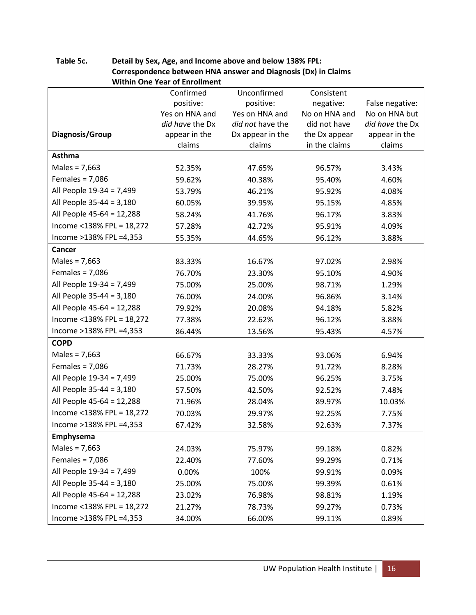| <b>Within One Year of Enrollment</b> |                 |                  |               |                 |  |  |
|--------------------------------------|-----------------|------------------|---------------|-----------------|--|--|
|                                      | Confirmed       | Unconfirmed      | Consistent    |                 |  |  |
|                                      | positive:       | positive:        | negative:     | False negative: |  |  |
|                                      | Yes on HNA and  | Yes on HNA and   | No on HNA and | No on HNA but   |  |  |
|                                      | did have the Dx | did not have the | did not have  | did have the Dx |  |  |
| Diagnosis/Group                      | appear in the   | Dx appear in the | the Dx appear | appear in the   |  |  |
|                                      | claims          | claims           | in the claims | claims          |  |  |
| <b>Asthma</b>                        |                 |                  |               |                 |  |  |
| Males = $7,663$                      | 52.35%          | 47.65%           | 96.57%        | 3.43%           |  |  |
| Females = $7,086$                    | 59.62%          | 40.38%           | 95.40%        | 4.60%           |  |  |
| All People 19-34 = 7,499             | 53.79%          | 46.21%           | 95.92%        | 4.08%           |  |  |
| All People 35-44 = 3,180             | 60.05%          | 39.95%           | 95.15%        | 4.85%           |  |  |
| All People 45-64 = 12,288            | 58.24%          | 41.76%           | 96.17%        | 3.83%           |  |  |
| Income <138% FPL = 18,272            | 57.28%          | 42.72%           | 95.91%        | 4.09%           |  |  |
| Income >138% FPL =4,353              | 55.35%          | 44.65%           | 96.12%        | 3.88%           |  |  |
| Cancer                               |                 |                  |               |                 |  |  |
| Males = $7,663$                      | 83.33%          | 16.67%           | 97.02%        | 2.98%           |  |  |
| Females = $7,086$                    | 76.70%          | 23.30%           | 95.10%        | 4.90%           |  |  |
| All People 19-34 = 7,499             | 75.00%          | 25.00%           | 98.71%        | 1.29%           |  |  |
| All People 35-44 = 3,180             | 76.00%          | 24.00%           | 96.86%        | 3.14%           |  |  |
| All People 45-64 = 12,288            | 79.92%          | 20.08%           | 94.18%        | 5.82%           |  |  |
| Income <138% FPL = 18,272            | 77.38%          | 22.62%           | 96.12%        | 3.88%           |  |  |
| Income >138% FPL =4,353              | 86.44%          | 13.56%           | 95.43%        | 4.57%           |  |  |
| <b>COPD</b>                          |                 |                  |               |                 |  |  |
| Males = $7,663$                      | 66.67%          | 33.33%           | 93.06%        | 6.94%           |  |  |
| Females = $7,086$                    | 71.73%          | 28.27%           | 91.72%        | 8.28%           |  |  |
| All People 19-34 = 7,499             | 25.00%          | 75.00%           | 96.25%        | 3.75%           |  |  |
| All People 35-44 = 3,180             | 57.50%          | 42.50%           | 92.52%        | 7.48%           |  |  |
| All People 45-64 = 12,288            | 71.96%          | 28.04%           | 89.97%        | 10.03%          |  |  |
| Income <138% FPL = 18,272            | 70.03%          | 29.97%           | 92.25%        | 7.75%           |  |  |
| Income >138% FPL =4,353              | 67.42%          | 32.58%           | 92.63%        | 7.37%           |  |  |
| Emphysema                            |                 |                  |               |                 |  |  |
| Males = $7,663$                      | 24.03%          | 75.97%           | 99.18%        | 0.82%           |  |  |
| Females = $7,086$                    | 22.40%          | 77.60%           | 99.29%        | 0.71%           |  |  |
| All People 19-34 = 7,499             | 0.00%           | 100%             | 99.91%        | 0.09%           |  |  |
| All People 35-44 = 3,180             | 25.00%          | 75.00%           | 99.39%        | 0.61%           |  |  |
| All People 45-64 = 12,288            | 23.02%          | 76.98%           | 98.81%        | 1.19%           |  |  |
| Income <138% FPL = 18,272            | 21.27%          | 78.73%           | 99.27%        | 0.73%           |  |  |
| Income >138% FPL =4,353              | 34.00%          | 66.00%           | 99.11%        | 0.89%           |  |  |

# **Table 5c. Detail by Sex, Age, and Income above and below 138% FPL: Correspondence between HNA answer and Diagnosis (Dx) in Claims**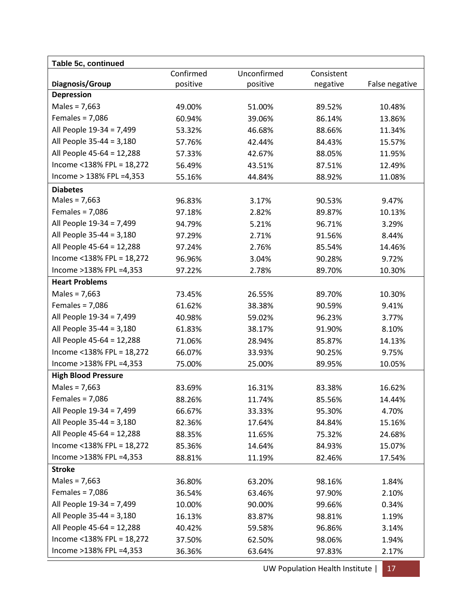| Table 5c, continued        |           |             |            |                |
|----------------------------|-----------|-------------|------------|----------------|
|                            | Confirmed | Unconfirmed | Consistent |                |
| Diagnosis/Group            | positive  | positive    | negative   | False negative |
| <b>Depression</b>          |           |             |            |                |
| Males = $7,663$            | 49.00%    | 51.00%      | 89.52%     | 10.48%         |
| Females = $7,086$          | 60.94%    | 39.06%      | 86.14%     | 13.86%         |
| All People 19-34 = 7,499   | 53.32%    | 46.68%      | 88.66%     | 11.34%         |
| All People 35-44 = 3,180   | 57.76%    | 42.44%      | 84.43%     | 15.57%         |
| All People 45-64 = 12,288  | 57.33%    | 42.67%      | 88.05%     | 11.95%         |
| Income <138% FPL = 18,272  | 56.49%    | 43.51%      | 87.51%     | 12.49%         |
| Income > 138% FPL = 4,353  | 55.16%    | 44.84%      | 88.92%     | 11.08%         |
| <b>Diabetes</b>            |           |             |            |                |
| Males = $7,663$            | 96.83%    | 3.17%       | 90.53%     | 9.47%          |
| Females = $7,086$          | 97.18%    | 2.82%       | 89.87%     | 10.13%         |
| All People 19-34 = 7,499   | 94.79%    | 5.21%       | 96.71%     | 3.29%          |
| All People 35-44 = 3,180   | 97.29%    | 2.71%       | 91.56%     | 8.44%          |
| All People 45-64 = 12,288  | 97.24%    | 2.76%       | 85.54%     | 14.46%         |
| Income <138% FPL = 18,272  | 96.96%    | 3.04%       | 90.28%     | 9.72%          |
| Income >138% FPL =4,353    | 97.22%    | 2.78%       | 89.70%     | 10.30%         |
| <b>Heart Problems</b>      |           |             |            |                |
| Males = $7,663$            | 73.45%    | 26.55%      | 89.70%     | 10.30%         |
| Females = $7,086$          | 61.62%    | 38.38%      | 90.59%     | 9.41%          |
| All People 19-34 = 7,499   | 40.98%    | 59.02%      | 96.23%     | 3.77%          |
| All People 35-44 = 3,180   | 61.83%    | 38.17%      | 91.90%     | 8.10%          |
| All People 45-64 = 12,288  | 71.06%    | 28.94%      | 85.87%     | 14.13%         |
| Income <138% FPL = 18,272  | 66.07%    | 33.93%      | 90.25%     | 9.75%          |
| Income >138% FPL =4,353    | 75.00%    | 25.00%      | 89.95%     | 10.05%         |
| <b>High Blood Pressure</b> |           |             |            |                |
| Males = $7,663$            | 83.69%    | 16.31%      | 83.38%     | 16.62%         |
| Females = $7,086$          | 88.26%    | 11.74%      | 85.56%     | 14.44%         |
| All People 19-34 = 7,499   | 66.67%    | 33.33%      | 95.30%     | 4.70%          |
| All People 35-44 = 3,180   | 82.36%    | 17.64%      | 84.84%     | 15.16%         |
| All People 45-64 = 12,288  | 88.35%    | 11.65%      | 75.32%     | 24.68%         |
| Income <138% FPL = 18,272  | 85.36%    | 14.64%      | 84.93%     | 15.07%         |
| Income >138% FPL =4,353    | 88.81%    | 11.19%      | 82.46%     | 17.54%         |
| <b>Stroke</b>              |           |             |            |                |
| Males = $7,663$            | 36.80%    | 63.20%      | 98.16%     | 1.84%          |
| Females = $7,086$          | 36.54%    | 63.46%      | 97.90%     | 2.10%          |
| All People 19-34 = 7,499   | 10.00%    | 90.00%      | 99.66%     | 0.34%          |
| All People 35-44 = 3,180   | 16.13%    | 83.87%      | 98.81%     | 1.19%          |
| All People 45-64 = 12,288  | 40.42%    | 59.58%      | 96.86%     | 3.14%          |
| Income <138% FPL = 18,272  | 37.50%    | 62.50%      | 98.06%     | 1.94%          |
| Income >138% FPL =4,353    | 36.36%    | 63.64%      | 97.83%     | 2.17%          |

UW Population Health Institute | 17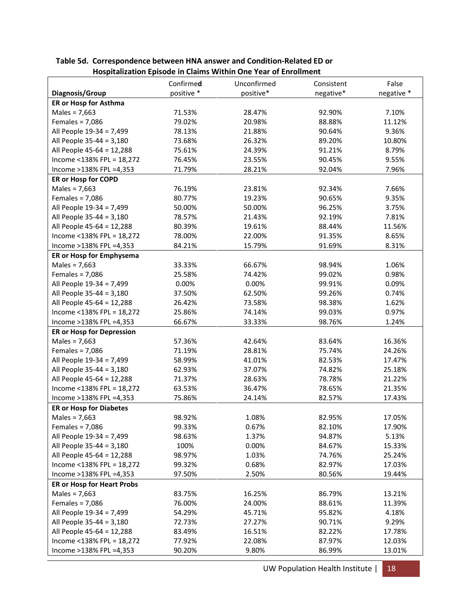|                                   | Confirmed  | Unconfirmed | Consistent | False      |
|-----------------------------------|------------|-------------|------------|------------|
| Diagnosis/Group                   | positive * | positive*   | negative*  | negative * |
| ER or Hosp for Asthma             |            |             |            |            |
| Males = $7,663$                   | 71.53%     | 28.47%      | 92.90%     | 7.10%      |
| Females = $7,086$                 | 79.02%     | 20.98%      | 88.88%     | 11.12%     |
| All People 19-34 = 7,499          | 78.13%     | 21.88%      | 90.64%     | 9.36%      |
| All People 35-44 = 3,180          | 73.68%     | 26.32%      | 89.20%     | 10.80%     |
| All People 45-64 = 12,288         | 75.61%     | 24.39%      | 91.21%     | 8.79%      |
| Income <138% FPL = 18,272         | 76.45%     | 23.55%      | 90.45%     | 9.55%      |
| Income >138% FPL =4,353           | 71.79%     | 28.21%      | 92.04%     | 7.96%      |
| ER or Hosp for COPD               |            |             |            |            |
| Males = $7,663$                   | 76.19%     | 23.81%      | 92.34%     | 7.66%      |
| Females = $7,086$                 | 80.77%     | 19.23%      | 90.65%     | 9.35%      |
| All People 19-34 = 7,499          | 50.00%     | 50.00%      | 96.25%     | 3.75%      |
| All People 35-44 = 3,180          | 78.57%     | 21.43%      | 92.19%     | 7.81%      |
| All People 45-64 = 12,288         | 80.39%     | 19.61%      | 88.44%     | 11.56%     |
| Income <138% FPL = 18,272         | 78.00%     | 22.00%      | 91.35%     | 8.65%      |
| Income >138% FPL =4,353           | 84.21%     | 15.79%      | 91.69%     | 8.31%      |
| ER or Hosp for Emphysema          |            |             |            |            |
| Males = $7,663$                   | 33.33%     | 66.67%      | 98.94%     | 1.06%      |
| Females = $7,086$                 | 25.58%     | 74.42%      | 99.02%     | 0.98%      |
| All People 19-34 = 7,499          | 0.00%      | 0.00%       | 99.91%     | 0.09%      |
| All People 35-44 = 3,180          | 37.50%     | 62.50%      | 99.26%     | 0.74%      |
| All People 45-64 = 12,288         | 26.42%     | 73.58%      | 98.38%     | 1.62%      |
| Income <138% FPL = 18,272         | 25.86%     | 74.14%      | 99.03%     | 0.97%      |
| Income >138% FPL =4,353           | 66.67%     | 33.33%      | 98.76%     | 1.24%      |
| <b>ER or Hosp for Depression</b>  |            |             |            |            |
| Males = $7,663$                   | 57.36%     | 42.64%      | 83.64%     | 16.36%     |
| Females = $7,086$                 | 71.19%     | 28.81%      | 75.74%     | 24.26%     |
| All People 19-34 = 7,499          | 58.99%     | 41.01%      | 82.53%     | 17.47%     |
| All People 35-44 = 3,180          | 62.93%     | 37.07%      | 74.82%     | 25.18%     |
| All People 45-64 = 12,288         | 71.37%     | 28.63%      | 78.78%     | 21.22%     |
| Income <138% FPL = 18,272         | 63.53%     | 36.47%      | 78.65%     | 21.35%     |
| Income >138% FPL =4,353           | 75.86%     | 24.14%      | 82.57%     | 17.43%     |
| <b>ER or Hosp for Diabetes</b>    |            |             |            |            |
| Males = $7,663$                   | 98.92%     | 1.08%       | 82.95%     | 17.05%     |
| Females = $7,086$                 | 99.33%     | 0.67%       | 82.10%     | 17.90%     |
| All People 19-34 = 7,499          | 98.63%     | 1.37%       | 94.87%     | 5.13%      |
| All People 35-44 = 3,180          | 100%       | 0.00%       | 84.67%     | 15.33%     |
| All People 45-64 = 12,288         | 98.97%     | 1.03%       | 74.76%     | 25.24%     |
| Income <138% FPL = $18,272$       | 99.32%     | 0.68%       | 82.97%     | 17.03%     |
| Income >138% FPL =4,353           | 97.50%     | 2.50%       | 80.56%     | 19.44%     |
| <b>ER or Hosp for Heart Probs</b> |            |             |            |            |
| Males = $7,663$                   | 83.75%     | 16.25%      | 86.79%     | 13.21%     |
| Females = $7,086$                 | 76.00%     | 24.00%      | 88.61%     | 11.39%     |
| All People 19-34 = 7,499          | 54.29%     | 45.71%      | 95.82%     | 4.18%      |
| All People 35-44 = 3,180          | 72.73%     | 27.27%      | 90.71%     | 9.29%      |
| All People 45-64 = 12,288         | 83.49%     | 16.51%      | 82.22%     | 17.78%     |
| Income <138% FPL = 18,272         | 77.92%     | 22.08%      | 87.97%     | 12.03%     |
| Income >138% FPL =4,353           | 90.20%     | 9.80%       | 86.99%     | 13.01%     |

**Table 5d. Correspondence between HNA answer and Condition-Related ED or Hospitalization Episode in Claims Within One Year of Enrollment**

UW Population Health Institute | 18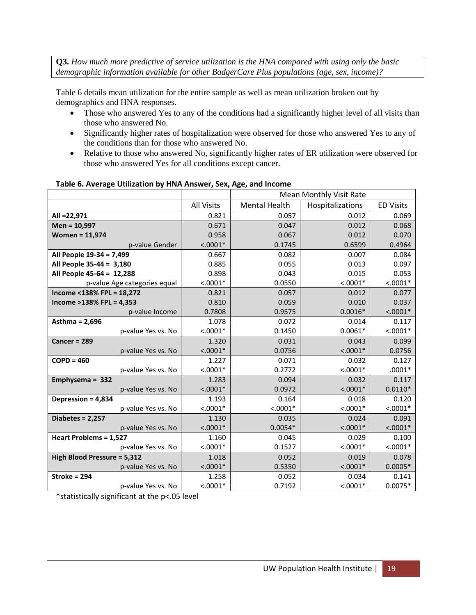**Q3.** *How much more predictive of service utilization is the HNA compared with using only the basic demographic information available for other BadgerCare Plus populations (age, sex, income)?*

Table 6 details mean utilization for the entire sample as well as mean utilization broken out by demographics and HNA responses.

- Those who answered Yes to any of the conditions had a significantly higher level of all visits than those who answered No.
- Significantly higher rates of hospitalization were observed for those who answered Yes to any of the conditions than for those who answered No.
- Relative to those who answered No, significantly higher rates of ER utilization were observed for those who answered Yes for all conditions except cancer.

|                              |                   |                      | <b>Mean Monthly Visit Rate</b> |                  |  |  |
|------------------------------|-------------------|----------------------|--------------------------------|------------------|--|--|
|                              | <b>All Visits</b> | <b>Mental Health</b> | Hospitalizations               | <b>ED Visits</b> |  |  |
| All = 22,971                 | 0.821             | 0.057                | 0.012                          | 0.069            |  |  |
| Men = 10,997                 | 0.671             | 0.047                | 0.012                          | 0.068            |  |  |
| <b>Women = 11,974</b>        | 0.958             | 0.067                | 0.012                          | 0.070            |  |  |
| p-value Gender               | $< .0001*$        | 0.1745               | 0.6599                         | 0.4964           |  |  |
| All People 19-34 = 7,499     | 0.667             | 0.082                | 0.007                          | 0.084            |  |  |
| All People 35-44 = 3,180     | 0.885             | 0.055                | 0.013                          | 0.097            |  |  |
| All People 45-64 = 12,288    | 0.898             | 0.043                | 0.015                          | 0.053            |  |  |
| p-value Age categories equal | $< .0001*$        | 0.0550               | $< .0001*$                     | $< .0001*$       |  |  |
| Income <138% FPL = 18,272    | 0.821             | 0.057                | 0.012                          | 0.077            |  |  |
| Income >138% FPL = 4,353     | 0.810             | 0.059                | 0.010                          | 0.037            |  |  |
| p-value Income               | 0.7808            | 0.9575               | $0.0016*$                      | $< .0001*$       |  |  |
| Asthma = 2,696               | 1.078             | 0.072                | 0.014                          | 0.117            |  |  |
| p-value Yes vs. No           | $< .0001*$        | 0.1450               | $0.0061*$                      | $< .0001*$       |  |  |
| Cancer = $289$               | 1.320             | 0.031                | 0.043                          | 0.099            |  |  |
| p-value Yes vs. No           | $< .0001*$        | 0.0756               | $< .0001*$                     | 0.0756           |  |  |
| $COPD = 460$                 | 1.227             | 0.071                | 0.032                          | 0.127            |  |  |
| p-value Yes vs. No           | $< .0001*$        | 0.2772               | $< .0001*$                     | $.0001*$         |  |  |
| Emphysema = 332              | 1.283             | 0.094                | 0.032                          | 0.117            |  |  |
| p-value Yes vs. No           | $< .0001*$        | 0.0972               | $< .0001*$                     | $0.0110*$        |  |  |
| Depression = 4,834           | 1.193             | 0.164                | 0.018                          | 0.120            |  |  |
| p-value Yes vs. No           | $< .0001*$        | $< .0001*$           | $< .0001*$                     | $< .0001*$       |  |  |
| Diabetes = 2,257             | 1.130             | 0.035                | 0.024                          | 0.091            |  |  |
| p-value Yes vs. No           | $< .0001*$        | $0.0054*$            | $< .0001*$                     | $< .0001*$       |  |  |
| Heart Problems = 1,527       | 1.160             | 0.045                | 0.029                          | 0.100            |  |  |
| p-value Yes vs. No           | $< .0001*$        | 0.1527               | $< .0001*$                     | $< .0001*$       |  |  |
| High Blood Pressure = 5,312  | 1.018             | 0.052                | 0.019                          | 0.078            |  |  |
| p-value Yes vs. No           | $< .0001*$        | 0.5350               | $< .0001*$                     | $0.0005*$        |  |  |
| Stroke = 294                 | 1.258             | 0.052                | 0.034                          | 0.141            |  |  |
| p-value Yes vs. No           | $< .0001*$        | 0.7192               | $< .0001*$                     | $0.0075*$        |  |  |

#### **Table 6. Average Utilization by HNA Answer, Sex, Age, and Income**

\*statistically significant at the p<.05 level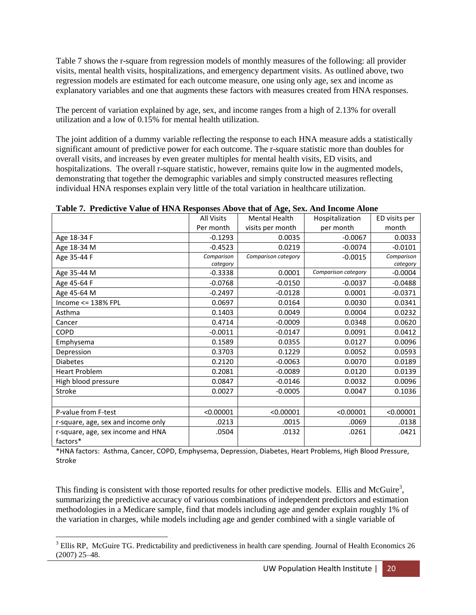Table 7 shows the r-square from regression models of monthly measures of the following: all provider visits, mental health visits, hospitalizations, and emergency department visits. As outlined above, two regression models are estimated for each outcome measure, one using only age, sex and income as explanatory variables and one that augments these factors with measures created from HNA responses.

The percent of variation explained by age, sex, and income ranges from a high of 2.13% for overall utilization and a low of 0.15% for mental health utilization.

The joint addition of a dummy variable reflecting the response to each HNA measure adds a statistically significant amount of predictive power for each outcome. The r-square statistic more than doubles for overall visits, and increases by even greater multiples for mental health visits, ED visits, and hospitalizations. The overall r-square statistic, however, remains quite low in the augmented models, demonstrating that together the demographic variables and simply constructed measures reflecting individual HNA responses explain very little of the total variation in healthcare utilization.

|                                    | <b>All Visits</b> | <b>Mental Health</b> | Hospitalization     | ED visits per |
|------------------------------------|-------------------|----------------------|---------------------|---------------|
|                                    | Per month         | visits per month     | per month           | month         |
| Age 18-34 F                        | $-0.1293$         | 0.0035               | $-0.0067$           | 0.0033        |
| Age 18-34 M                        | $-0.4523$         | 0.0219               | $-0.0074$           | $-0.0101$     |
| Age 35-44 F                        | Comparison        | Comparison category  | $-0.0015$           | Comparison    |
|                                    | category          |                      |                     | category      |
| Age 35-44 M                        | $-0.3338$         | 0.0001               | Comparison category | $-0.0004$     |
| Age 45-64 F                        | $-0.0768$         | $-0.0150$            | $-0.0037$           | $-0.0488$     |
| Age 45-64 M                        | $-0.2497$         | $-0.0128$            | 0.0001              | $-0.0371$     |
| Income <= 138% FPL                 | 0.0697            | 0.0164               | 0.0030              | 0.0341        |
| Asthma                             | 0.1403            | 0.0049               | 0.0004              | 0.0232        |
| Cancer                             | 0.4714            | $-0.0009$            | 0.0348              | 0.0620        |
| <b>COPD</b>                        | $-0.0011$         | $-0.0147$            | 0.0091              | 0.0412        |
| Emphysema                          | 0.1589            | 0.0355               | 0.0127              | 0.0096        |
| Depression                         | 0.3703            | 0.1229               | 0.0052              | 0.0593        |
| <b>Diabetes</b>                    | 0.2120            | $-0.0063$            | 0.0070              | 0.0189        |
| <b>Heart Problem</b>               | 0.2081            | $-0.0089$            | 0.0120              | 0.0139        |
| High blood pressure                | 0.0847            | $-0.0146$            | 0.0032              | 0.0096        |
| Stroke                             | 0.0027            | $-0.0005$            | 0.0047              | 0.1036        |
|                                    |                   |                      |                     |               |
| P-value from F-test                | < 0.00001         | < 0.00001            | < 0.00001           | < 0.00001     |
| r-square, age, sex and income only | .0213             | .0015                | .0069               | .0138         |
| r-square, age, sex income and HNA  | .0504             | .0132                | .0261               | .0421         |
| factors*                           |                   |                      |                     |               |

#### **Table 7. Predictive Value of HNA Responses Above that of Age, Sex. And Income Alone**

\*HNA factors: Asthma, Cancer, COPD, Emphysema, Depression, Diabetes, Heart Problems, High Blood Pressure, Stroke

This finding is consistent with those reported results for other predictive models. Ellis and McGuire<sup>3</sup>, summarizing the predictive accuracy of various combinations of independent predictors and estimation methodologies in a Medicare sample, find that models including age and gender explain roughly 1% of the variation in charges, while models including age and gender combined with a single variable of

 $\overline{\phantom{a}}$ <sup>3</sup> Ellis RP, McGuire TG. Predictability and predictiveness in health care spending. Journal of Health Economics 26 (2007) 25–48.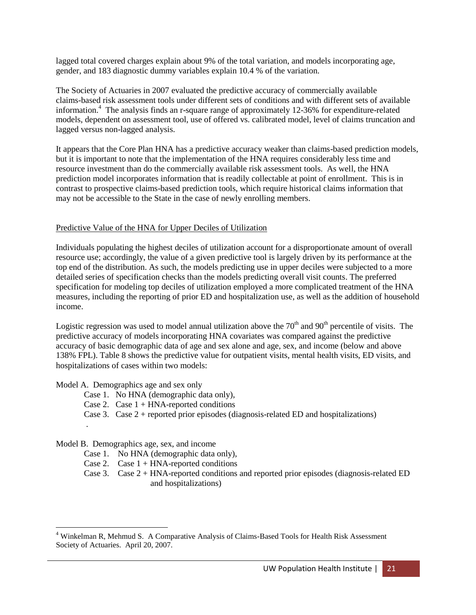lagged total covered charges explain about 9% of the total variation, and models incorporating age, gender, and 183 diagnostic dummy variables explain 10.4 % of the variation.

The Society of Actuaries in 2007 evaluated the predictive accuracy of commercially available claims-based risk assessment tools under different sets of conditions and with different sets of available information.<sup>4</sup> The analysis finds an r-square range of approximately 12-36% for expenditure-related models, dependent on assessment tool, use of offered vs. calibrated model, level of claims truncation and lagged versus non-lagged analysis.

It appears that the Core Plan HNA has a predictive accuracy weaker than claims-based prediction models, but it is important to note that the implementation of the HNA requires considerably less time and resource investment than do the commercially available risk assessment tools. As well, the HNA prediction model incorporates information that is readily collectable at point of enrollment. This is in contrast to prospective claims-based prediction tools, which require historical claims information that may not be accessible to the State in the case of newly enrolling members.

## Predictive Value of the HNA for Upper Deciles of Utilization

Individuals populating the highest deciles of utilization account for a disproportionate amount of overall resource use; accordingly, the value of a given predictive tool is largely driven by its performance at the top end of the distribution. As such, the models predicting use in upper deciles were subjected to a more detailed series of specification checks than the models predicting overall visit counts. The preferred specification for modeling top deciles of utilization employed a more complicated treatment of the HNA measures, including the reporting of prior ED and hospitalization use, as well as the addition of household income.

Logistic regression was used to model annual utilization above the  $70<sup>th</sup>$  and  $90<sup>th</sup>$  percentile of visits. The predictive accuracy of models incorporating HNA covariates was compared against the predictive accuracy of basic demographic data of age and sex alone and age, sex, and income (below and above 138% FPL). Table 8 shows the predictive value for outpatient visits, mental health visits, ED visits, and hospitalizations of cases within two models:

Model A. Demographics age and sex only

.

- Case 1. No HNA (demographic data only),
- Case 2. Case  $1 + HNA$ -reported conditions
- Case 3. Case  $2 +$  reported prior episodes (diagnosis-related ED and hospitalizations)

#### Model B. Demographics age, sex, and income

- Case 1. No HNA (demographic data only),
- Case 2. Case  $1 + HNA$ -reported conditions
- Case 3. Case 2 + HNA-reported conditions and reported prior episodes (diagnosis-related ED and hospitalizations)

 $\overline{\phantom{a}}$ <sup>4</sup> Winkelman R, Mehmud S. A Comparative Analysis of Claims-Based Tools for Health Risk Assessment Society of Actuaries. April 20, 2007.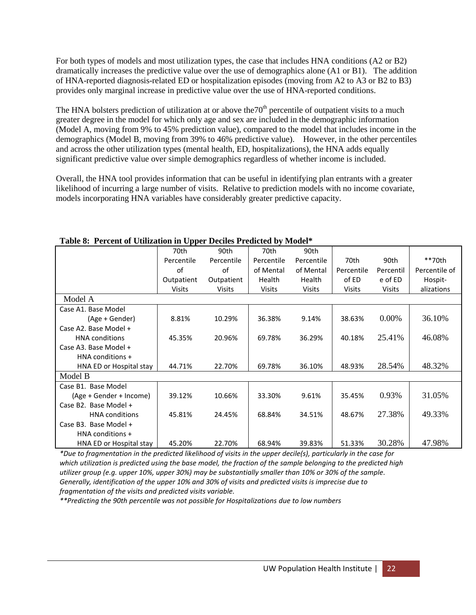For both types of models and most utilization types, the case that includes HNA conditions (A2 or B2) dramatically increases the predictive value over the use of demographics alone (A1 or B1). The addition of HNA-reported diagnosis-related ED or hospitalization episodes (moving from A2 to A3 or B2 to B3) provides only marginal increase in predictive value over the use of HNA-reported conditions.

The HNA bolsters prediction of utilization at or above the  $70<sup>th</sup>$  percentile of outpatient visits to a much greater degree in the model for which only age and sex are included in the demographic information (Model A, moving from 9% to 45% prediction value), compared to the model that includes income in the demographics (Model B, moving from 39% to 46% predictive value). However, in the other percentiles and across the other utilization types (mental health, ED, hospitalizations), the HNA adds equally significant predictive value over simple demographics regardless of whether income is included.

Overall, the HNA tool provides information that can be useful in identifying plan entrants with a greater likelihood of incurring a large number of visits. Relative to prediction models with no income covariate, models incorporating HNA variables have considerably greater predictive capacity.

| radio of a creent or cumeation in opper beches i redicted by moder |            |               |               |            |            |           |               |
|--------------------------------------------------------------------|------------|---------------|---------------|------------|------------|-----------|---------------|
|                                                                    | 70th       | 90th          | 70th          | 90th       |            |           |               |
|                                                                    | Percentile | Percentile    | Percentile    | Percentile | 70th       | 90th      | **70th        |
|                                                                    | of         | οf            | of Mental     | of Mental  | Percentile | Percentil | Percentile of |
|                                                                    | Outpatient | Outpatient    | Health        | Health     | of ED      | e of ED   | Hospit-       |
|                                                                    | Visits     | <b>Visits</b> | <b>Visits</b> | Visits     | Visits     | Visits    | alizations    |
| Model A                                                            |            |               |               |            |            |           |               |
| Case A1. Base Model                                                |            |               |               |            |            |           |               |
| (Age + Gender)                                                     | 8.81%      | 10.29%        | 36.38%        | 9.14%      | 38.63%     | 0.00%     | 36.10%        |
| Case A2. Base Model +                                              |            |               |               |            |            |           |               |
| <b>HNA</b> conditions                                              | 45.35%     | 20.96%        | 69.78%        | 36.29%     | 40.18%     | 25.41%    | 46.08%        |
| Case A3. Base Model +                                              |            |               |               |            |            |           |               |
| HNA conditions +                                                   |            |               |               |            |            |           |               |
| HNA ED or Hospital stay                                            | 44.71%     | 22.70%        | 69.78%        | 36.10%     | 48.93%     | 28.54%    | 48.32%        |
| Model B                                                            |            |               |               |            |            |           |               |
| Case B1. Base Model                                                |            |               |               |            |            |           |               |
| (Age + Gender + Income)                                            | 39.12%     | 10.66%        | 33.30%        | 9.61%      | 35.45%     | 0.93%     | 31.05%        |
| Case B2. Base Model +                                              |            |               |               |            |            |           |               |
| <b>HNA</b> conditions                                              | 45.81%     | 24.45%        | 68.84%        | 34.51%     | 48.67%     | 27.38%    | 49.33%        |
| Case B3. Base Model +                                              |            |               |               |            |            |           |               |
| HNA conditions +                                                   |            |               |               |            |            |           |               |
| HNA ED or Hospital stay                                            | 45.20%     | 22.70%        | 68.94%        | 39.83%     | 51.33%     | 30.28%    | 47.98%        |

## **Table 8: Percent of Utilization in Upper Deciles Predicted by Model\***

*\*Due to fragmentation in the predicted likelihood of visits in the upper decile(s), particularly in the case for which utilization is predicted using the base model, the fraction of the sample belonging to the predicted high utilizer group (e.g. upper 10%, upper 30%) may be substantially smaller than 10% or 30% of the sample. Generally, identification of the upper 10% and 30% of visits and predicted visits is imprecise due to fragmentation of the visits and predicted visits variable.*

*\*\*Predicting the 90th percentile was not possible for Hospitalizations due to low numbers*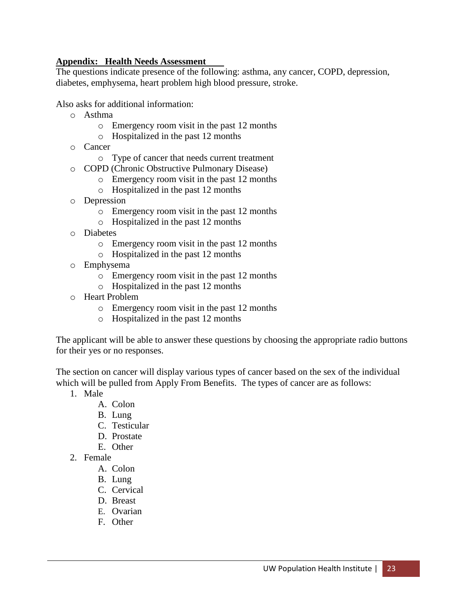## **Appendix: Health Needs Assessment**

The questions indicate presence of the following: asthma, any cancer, COPD, depression, diabetes, emphysema, heart problem high blood pressure, stroke.

Also asks for additional information:

- o Asthma
	- o Emergency room visit in the past 12 months
	- o Hospitalized in the past 12 months
- o Cancer
	- o Type of cancer that needs current treatment
- o COPD (Chronic Obstructive Pulmonary Disease)
	- o Emergency room visit in the past 12 months
	- o Hospitalized in the past 12 months
- o Depression
	- o Emergency room visit in the past 12 months
	- o Hospitalized in the past 12 months
- o Diabetes
	- o Emergency room visit in the past 12 months
	- o Hospitalized in the past 12 months
- o Emphysema
	- o Emergency room visit in the past 12 months
	- o Hospitalized in the past 12 months
- o Heart Problem
	- o Emergency room visit in the past 12 months
	- o Hospitalized in the past 12 months

The applicant will be able to answer these questions by choosing the appropriate radio buttons for their yes or no responses.

The section on cancer will display various types of cancer based on the sex of the individual which will be pulled from Apply From Benefits. The types of cancer are as follows:

- 1. Male
	- A. Colon
	- B. Lung
	- C. Testicular
	- D. Prostate
	- E. Other
- 2. Female
	- A. Colon
	- B. Lung
	- C. Cervical
	- D. Breast
	- E. Ovarian
	- F. Other